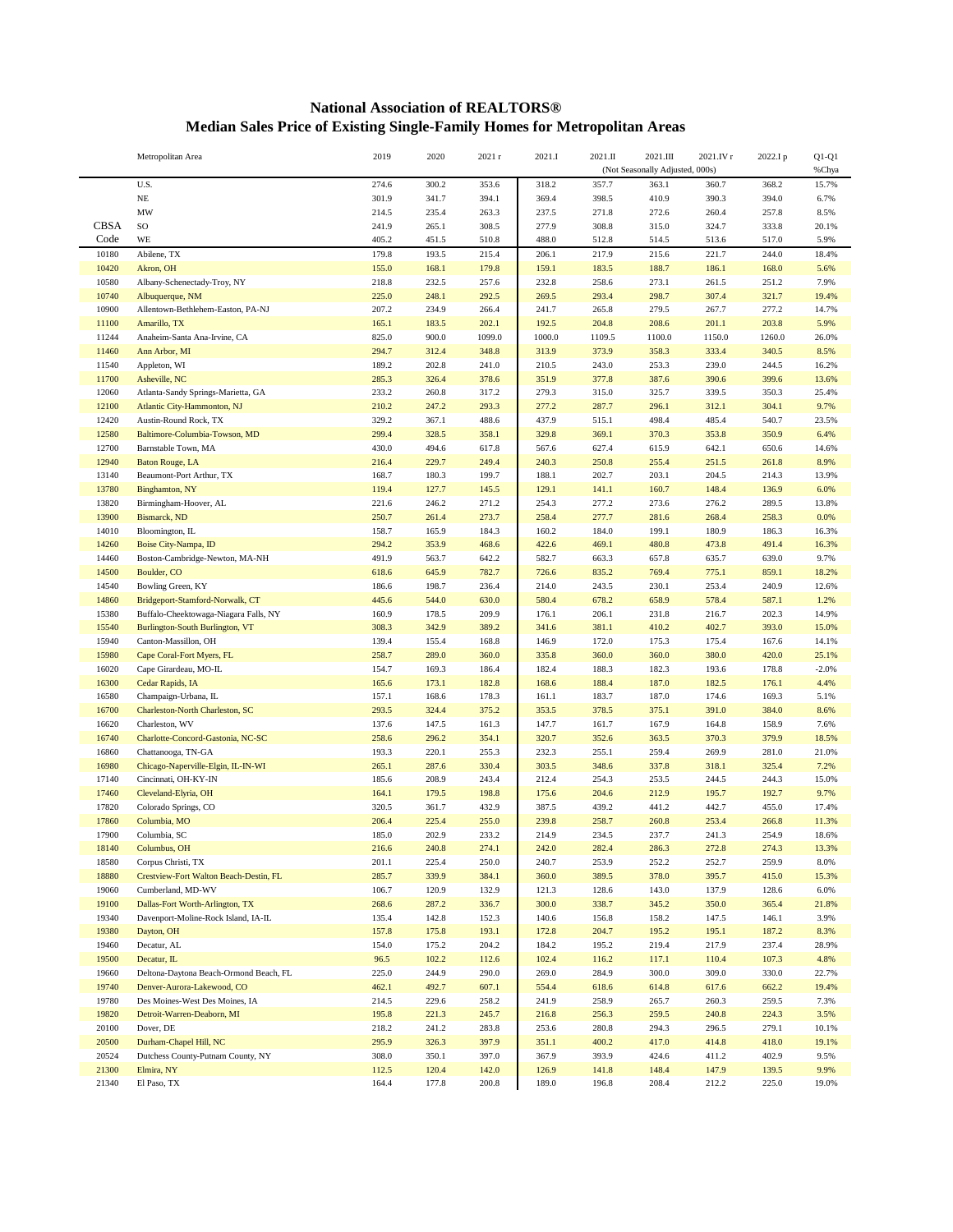## **National Association of REALTORS® Median Sales Price of Existing Single-Family Homes for Metropolitan Areas**

|                | Metropolitan Area                                                        | 2019           | 2020           | 2021r          | 2021.I         | 2021.II        | 2021.III                        | 2021.IV r      | 2022.Ip        | $Q1-Q1$       |
|----------------|--------------------------------------------------------------------------|----------------|----------------|----------------|----------------|----------------|---------------------------------|----------------|----------------|---------------|
|                |                                                                          |                |                |                |                |                | (Not Seasonally Adjusted, 000s) |                |                | %Chya         |
|                | U.S.                                                                     | 274.6          | 300.2          | 353.6          | 318.2          | 357.7          | 363.1                           | 360.7          | 368.2          | 15.7%         |
|                | $\rm NE$                                                                 | 301.9          | 341.7          | 394.1          | 369.4          | 398.5          | 410.9                           | 390.3          | 394.0          | 6.7%          |
|                | $\ensuremath{\text{MW}}\xspace$                                          | 214.5          | 235.4          | 263.3          | 237.5          | 271.8          | 272.6                           | 260.4          | 257.8          | 8.5%          |
| <b>CBSA</b>    | $\rm SO$                                                                 | 241.9          | 265.1          | 308.5          | 277.9          | 308.8          | 315.0                           | 324.7          | 333.8          | 20.1%         |
| Code           | <b>WE</b>                                                                | 405.2          | 451.5          | 510.8          | 488.0          | 512.8          | 514.5                           | 513.6          | 517.0          | 5.9%          |
| 10180          | Abilene, TX                                                              | 179.8          | 193.5          | 215.4          | 206.1          | 217.9          | 215.6                           | 221.7          | 244.0          | 18.4%         |
| 10420          | Akron, OH                                                                | 155.0          | 168.1          | 179.8          | 159.1          | 183.5          | 188.7                           | 186.1          | 168.0          | 5.6%          |
| 10580          | Albany-Schenectady-Troy, NY                                              | 218.8          | 232.5          | 257.6          | 232.8          | 258.6          | 273.1                           | 261.5          | 251.2          | 7.9%          |
| 10740          | Albuquerque, NM                                                          | 225.0          | 248.1          | 292.5          | 269.5          | 293.4          | 298.7                           | 307.4          | 321.7          | 19.4%         |
| 10900<br>11100 | Allentown-Bethlehem-Easton, PA-NJ<br>Amarillo, TX                        | 207.2<br>165.1 | 234.9<br>183.5 | 266.4<br>202.1 | 241.7<br>192.5 | 265.8<br>204.8 | 279.5<br>208.6                  | 267.7<br>201.1 | 277.2<br>203.8 | 14.7%<br>5.9% |
| 11244          | Anaheim-Santa Ana-Irvine, CA                                             | 825.0          | 900.0          | 1099.0         | 1000.0         | 1109.5         | 1100.0                          | 1150.0         | 1260.0         | 26.0%         |
| 11460          | Ann Arbor, MI                                                            | 294.7          | 312.4          | 348.8          | 313.9          | 373.9          | 358.3                           | 333.4          | 340.5          | 8.5%          |
| 11540          | Appleton, WI                                                             | 189.2          | 202.8          | 241.0          | 210.5          | 243.0          | 253.3                           | 239.0          | 244.5          | 16.2%         |
| 11700          | Asheville, NC                                                            | 285.3          | 326.4          | 378.6          | 351.9          | 377.8          | 387.6                           | 390.6          | 399.6          | 13.6%         |
| 12060          | Atlanta-Sandy Springs-Marietta, GA                                       | 233.2          | 260.8          | 317.2          | 279.3          | 315.0          | 325.7                           | 339.5          | 350.3          | 25.4%         |
| 12100          | Atlantic City-Hammonton, NJ                                              | 210.2          | 247.2          | 293.3          | 277.2          | 287.7          | 296.1                           | 312.1          | 304.1          | 9.7%          |
| 12420          | Austin-Round Rock, TX                                                    | 329.2          | 367.1          | 488.6          | 437.9          | 515.1          | 498.4                           | 485.4          | 540.7          | 23.5%         |
| 12580          | Baltimore-Columbia-Towson, MD                                            | 299.4          | 328.5          | 358.1          | 329.8          | 369.1          | 370.3                           | 353.8          | 350.9          | 6.4%          |
| 12700          | Barnstable Town, MA                                                      | 430.0          | 494.6          | 617.8          | 567.6          | 627.4          | 615.9                           | 642.1          | 650.6          | 14.6%         |
| 12940          | <b>Baton Rouge, LA</b>                                                   | 216.4          | 229.7          | 249.4          | 240.3          | 250.8          | 255.4                           | 251.5          | 261.8          | 8.9%          |
| 13140          | Beaumont-Port Arthur, TX                                                 | 168.7          | 180.3          | 199.7          | 188.1          | 202.7          | 203.1                           | 204.5          | 214.3          | 13.9%         |
| 13780          | Binghamton, NY                                                           | 119.4          | 127.7          | 145.5          | 129.1          | 141.1          | 160.7                           | 148.4          | 136.9          | 6.0%          |
| 13820          | Birmingham-Hoover, AL                                                    | 221.6          | 246.2          | 271.2          | 254.3          | 277.2          | 273.6                           | 276.2          | 289.5          | 13.8%         |
| 13900          | Bismarck, ND                                                             | 250.7          | 261.4          | 273.7          | 258.4          | 277.7          | 281.6                           | 268.4          | 258.3          | 0.0%          |
| 14010          | Bloomington, IL                                                          | 158.7          | 165.9          | 184.3          | 160.2          | 184.0          | 199.1                           | 180.9          | 186.3          | 16.3%         |
| 14260          | Boise City-Nampa, ID                                                     | 294.2          | 353.9          | 468.6          | 422.6          | 469.1          | 480.8                           | 473.8          | 491.4          | 16.3%         |
| 14460          | Boston-Cambridge-Newton, MA-NH                                           | 491.9          | 563.7          | 642.2          | 582.7          | 663.3          | 657.8                           | 635.7          | 639.0          | 9.7%          |
| 14500          | Boulder, CO                                                              | 618.6          | 645.9          | 782.7          | 726.6          | 835.2          | 769.4                           | 775.1          | 859.1          | 18.2%         |
| 14540          | Bowling Green, KY                                                        | 186.6          | 198.7          | 236.4          | 214.0          | 243.5          | 230.1                           | 253.4          | 240.9          | 12.6%         |
| 14860<br>15380 | Bridgeport-Stamford-Norwalk, CT                                          | 445.6<br>160.9 | 544.0          | 630.0<br>209.9 | 580.4<br>176.1 | 678.2          | 658.9                           | 578.4          | 587.1<br>202.3 | 1.2%<br>14.9% |
| 15540          | Buffalo-Cheektowaga-Niagara Falls, NY<br>Burlington-South Burlington, VT | 308.3          | 178.5<br>342.9 | 389.2          | 341.6          | 206.1<br>381.1 | 231.8<br>410.2                  | 216.7<br>402.7 | 393.0          | 15.0%         |
| 15940          | Canton-Massillon, OH                                                     | 139.4          | 155.4          | 168.8          | 146.9          | 172.0          | 175.3                           | 175.4          | 167.6          | 14.1%         |
| 15980          | Cape Coral-Fort Myers, FL                                                | 258.7          | 289.0          | 360.0          | 335.8          | 360.0          | 360.0                           | 380.0          | 420.0          | 25.1%         |
| 16020          | Cape Girardeau, MO-IL                                                    | 154.7          | 169.3          | 186.4          | 182.4          | 188.3          | 182.3                           | 193.6          | 178.8          | $-2.0%$       |
| 16300          | Cedar Rapids, IA                                                         | 165.6          | 173.1          | 182.8          | 168.6          | 188.4          | 187.0                           | 182.5          | 176.1          | 4.4%          |
| 16580          | Champaign-Urbana, IL                                                     | 157.1          | 168.6          | 178.3          | 161.1          | 183.7          | 187.0                           | 174.6          | 169.3          | 5.1%          |
| 16700          | Charleston-North Charleston, SC                                          | 293.5          | 324.4          | 375.2          | 353.5          | 378.5          | 375.1                           | 391.0          | 384.0          | 8.6%          |
| 16620          | Charleston, WV                                                           | 137.6          | 147.5          | 161.3          | 147.7          | 161.7          | 167.9                           | 164.8          | 158.9          | 7.6%          |
| 16740          | Charlotte-Concord-Gastonia, NC-SC                                        | 258.6          | 296.2          | 354.1          | 320.7          | 352.6          | 363.5                           | 370.3          | 379.9          | 18.5%         |
| 16860          | Chattanooga, TN-GA                                                       | 193.3          | 220.1          | 255.3          | 232.3          | 255.1          | 259.4                           | 269.9          | 281.0          | 21.0%         |
| 16980          | Chicago-Naperville-Elgin, IL-IN-WI                                       | 265.1          | 287.6          | 330.4          | 303.5          | 348.6          | 337.8                           | 318.1          | 325.4          | 7.2%          |
| 17140          | Cincinnati, OH-KY-IN                                                     | 185.6          | 208.9          | 243.4          | 212.4          | 254.3          | 253.5                           | 244.5          | 244.3          | 15.0%         |
| 17460          | Cleveland-Elyria, OH                                                     | 164.1          | 179.5          | 198.8          | 175.6          | 204.6          | 212.9                           | 195.7          | 192.7          | 9.7%          |
| 17820          | Colorado Springs, CO                                                     | 320.5          | 361.7          | 432.9          | 387.5          | 439.2          | 441.2                           | 442.7          | 455.0          | 17.4%         |
| 17860          | Columbia, MO                                                             | 206.4          | 225.4          | 255.0          | 239.8          | 258.7          | 260.8                           | 253.4          | 266.8          | 11.3%         |
| 17900          | Columbia, SC                                                             | 185.0          | 202.9          | 233.2          | 214.9          | 234.5          | 237.7                           | 241.3          | 254.9          | 18.6%         |
| 18140<br>18580 | Columbus, OH<br>Corpus Christi, TX                                       | 216.6<br>201.1 | 240.8<br>225.4 | 274.1<br>250.0 | 242.0<br>240.7 | 282.4<br>253.9 | 286.3<br>252.2                  | 272.8<br>252.7 | 274.3<br>259.9 | 13.3%<br>8.0% |
| 18880          | Crestview-Fort Walton Beach-Destin, FL                                   | 285.7          | 339.9          | 384.1          | 360.0          | 389.5          | 378.0                           | 395.7          | 415.0          | 15.3%         |
| 19060          | Cumberland, MD-WV                                                        | 106.7          | 120.9          | 132.9          | 121.3          | 128.6          | 143.0                           | 137.9          | 128.6          | 6.0%          |
| 19100          | Dallas-Fort Worth-Arlington, TX                                          | 268.6          | 287.2          | 336.7          | 300.0          | 338.7          | 345.2                           | 350.0          | 365.4          | 21.8%         |
| 19340          | Davenport-Moline-Rock Island, IA-IL                                      | 135.4          | 142.8          | 152.3          | 140.6          | 156.8          | 158.2                           | 147.5          | 146.1          | 3.9%          |
| 19380          | Dayton, OH                                                               | 157.8          | 175.8          | 193.1          | 172.8          | 204.7          | 195.2                           | 195.1          | 187.2          | 8.3%          |
| 19460          | Decatur, AL                                                              | 154.0          | 175.2          | 204.2          | 184.2          | 195.2          | 219.4                           | 217.9          | 237.4          | 28.9%         |
| 19500          | Decatur, IL                                                              | 96.5           | 102.2          | 112.6          | 102.4          | 116.2          | 117.1                           | 110.4          | 107.3          | 4.8%          |
| 19660          | Deltona-Daytona Beach-Ormond Beach, FL                                   | 225.0          | 244.9          | 290.0          | 269.0          | 284.9          | 300.0                           | 309.0          | 330.0          | 22.7%         |
| 19740          | Denver-Aurora-Lakewood, CO                                               | 462.1          | 492.7          | 607.1          | 554.4          | 618.6          | 614.8                           | 617.6          | 662.2          | 19.4%         |
| 19780          | Des Moines-West Des Moines, IA                                           | 214.5          | 229.6          | 258.2          | 241.9          | 258.9          | 265.7                           | 260.3          | 259.5          | 7.3%          |
| 19820          | Detroit-Warren-Deaborn, MI                                               | 195.8          | 221.3          | 245.7          | 216.8          | 256.3          | 259.5                           | 240.8          | 224.3          | 3.5%          |
| 20100          | Dover, DE                                                                | 218.2          | 241.2          | 283.8          | 253.6          | 280.8          | 294.3                           | 296.5          | 279.1          | 10.1%         |
| 20500          | Durham-Chapel Hill, NC                                                   | 295.9          | 326.3          | 397.9          | 351.1          | 400.2          | 417.0                           | 414.8          | 418.0          | 19.1%         |
| 20524          | Dutchess County-Putnam County, NY                                        | 308.0          | 350.1          | 397.0          | 367.9          | 393.9          | 424.6                           | 411.2          | 402.9          | 9.5%          |
| 21300          | Elmira, NY                                                               | 112.5          | 120.4          | 142.0          | 126.9          | 141.8          | 148.4                           | 147.9          | 139.5          | 9.9%          |
| 21340          | El Paso, TX                                                              | 164.4          | 177.8          | 200.8          | 189.0          | 196.8          | 208.4                           | 212.2          | 225.0          | 19.0%         |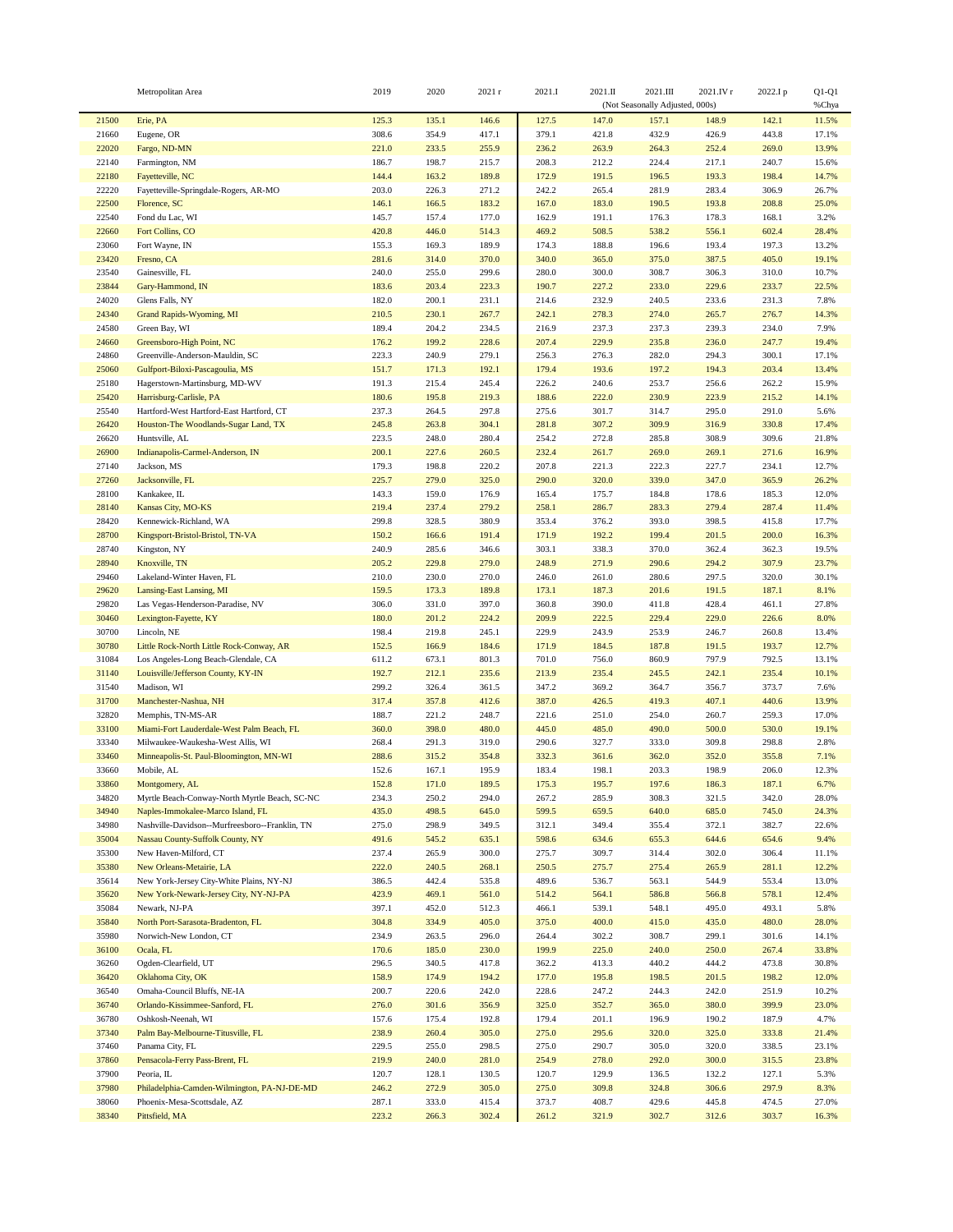|                | Metropolitan Area                              | 2019           | 2020           | 2021r          | 2021.I         | 2021.II        | 2021.III<br>(Not Seasonally Adjusted, 000s) | 2021.IV r      | 2022.Ip        | $Q1-Q1$<br>%Chya |
|----------------|------------------------------------------------|----------------|----------------|----------------|----------------|----------------|---------------------------------------------|----------------|----------------|------------------|
| 21500          | Erie, PA                                       | 125.3          | 135.1          | 146.6          | 127.5          | 147.0          | 157.1                                       | 148.9          | 142.1          | 11.5%            |
| 21660          | Eugene, OR                                     | 308.6          | 354.9          | 417.1          | 379.1          | 421.8          | 432.9                                       | 426.9          | 443.8          | 17.1%            |
| 22020          | Fargo, ND-MN                                   | 221.0          | 233.5          | 255.9          | 236.2          | 263.9          | 264.3                                       | 252.4          | 269.0          | 13.9%            |
| 22140          | Farmington, NM                                 | 186.7          | 198.7          | 215.7          | 208.3          | 212.2          | 224.4                                       | 217.1          | 240.7          | 15.6%            |
| 22180          | Fayetteville, NC                               | 144.4          | 163.2          | 189.8          | 172.9          | 191.5          | 196.5                                       | 193.3          | 198.4          | 14.7%            |
| 22220          | Fayetteville-Springdale-Rogers, AR-MO          | 203.0          | 226.3          | 271.2          | 242.2          | 265.4          | 281.9                                       | 283.4          | 306.9          | 26.7%            |
| 22500          | Florence, SC                                   | 146.1          | 166.5          | 183.2          | 167.0          | 183.0          | 190.5                                       | 193.8          | 208.8          | 25.0%            |
| 22540          | Fond du Lac, WI                                | 145.7          | 157.4          | 177.0          | 162.9          | 191.1          | 176.3                                       | 178.3          | 168.1          | 3.2%             |
| 22660          | Fort Collins, CO                               | 420.8          | 446.0          | 514.3          | 469.2          | 508.5          | 538.2                                       | 556.1          | 602.4          | 28.4%            |
| 23060          | Fort Wayne, IN                                 | 155.3          | 169.3          | 189.9          | 174.3          | 188.8          | 196.6                                       | 193.4          | 197.3          | 13.2%            |
| 23420          | Fresno, CA                                     | 281.6          | 314.0          | 370.0          | 340.0          | 365.0          | 375.0                                       | 387.5          | 405.0          | 19.1%            |
| 23540          | Gainesville, FL                                | 240.0          | 255.0          | 299.6          | 280.0          | 300.0          | 308.7                                       | 306.3          | 310.0          | 10.7%            |
| 23844          | Gary-Hammond, IN                               | 183.6          | 203.4          | 223.3          | 190.7          | 227.2          | 233.0                                       | 229.6          | 233.7          | 22.5%            |
| 24020<br>24340 | Glens Falls, NY                                | 182.0<br>210.5 | 200.1<br>230.1 | 231.1<br>267.7 | 214.6<br>242.1 | 232.9<br>278.3 | 240.5<br>274.0                              | 233.6<br>265.7 | 231.3<br>276.7 | 7.8%<br>14.3%    |
| 24580          | Grand Rapids-Wyoming, MI<br>Green Bay, WI      | 189.4          | 204.2          | 234.5          | 216.9          | 237.3          | 237.3                                       | 239.3          | 234.0          | 7.9%             |
| 24660          | Greensboro-High Point, NC                      | 176.2          | 199.2          | 228.6          | 207.4          | 229.9          | 235.8                                       | 236.0          | 247.7          | 19.4%            |
| 24860          | Greenville-Anderson-Mauldin, SC                | 223.3          | 240.9          | 279.1          | 256.3          | 276.3          | 282.0                                       | 294.3          | 300.1          | 17.1%            |
| 25060          | Gulfport-Biloxi-Pascagoulia, MS                | 151.7          | 171.3          | 192.1          | 179.4          | 193.6          | 197.2                                       | 194.3          | 203.4          | 13.4%            |
| 25180          | Hagerstown-Martinsburg, MD-WV                  | 191.3          | 215.4          | 245.4          | 226.2          | 240.6          | 253.7                                       | 256.6          | 262.2          | 15.9%            |
| 25420          | Harrisburg-Carlisle, PA                        | 180.6          | 195.8          | 219.3          | 188.6          | 222.0          | 230.9                                       | 223.9          | 215.2          | 14.1%            |
| 25540          | Hartford-West Hartford-East Hartford, CT       | 237.3          | 264.5          | 297.8          | 275.6          | 301.7          | 314.7                                       | 295.0          | 291.0          | 5.6%             |
| 26420          | Houston-The Woodlands-Sugar Land, TX           | 245.8          | 263.8          | 304.1          | 281.8          | 307.2          | 309.9                                       | 316.9          | 330.8          | 17.4%            |
| 26620          | Huntsville, AL                                 | 223.5          | 248.0          | 280.4          | 254.2          | 272.8          | 285.8                                       | 308.9          | 309.6          | 21.8%            |
| 26900          | Indianapolis-Carmel-Anderson, IN               | 200.1          | 227.6          | 260.5          | 232.4          | 261.7          | 269.0                                       | 269.1          | 271.6          | 16.9%            |
| 27140          | Jackson, MS                                    | 179.3          | 198.8          | 220.2          | 207.8          | 221.3          | 222.3                                       | 227.7          | 234.1          | 12.7%            |
| 27260          | Jacksonville, FL                               | 225.7          | 279.0          | 325.0          | 290.0          | 320.0          | 339.0                                       | 347.0          | 365.9          | 26.2%            |
| 28100          | Kankakee, IL                                   | 143.3          | 159.0          | 176.9          | 165.4          | 175.7          | 184.8                                       | 178.6          | 185.3          | 12.0%            |
| 28140          | Kansas City, MO-KS                             | 219.4          | 237.4          | 279.2          | 258.1          | 286.7          | 283.3                                       | 279.4          | 287.4          | 11.4%            |
| 28420          | Kennewick-Richland, WA                         | 299.8          | 328.5          | 380.9          | 353.4          | 376.2          | 393.0                                       | 398.5          | 415.8          | 17.7%            |
| 28700          | Kingsport-Bristol-Bristol, TN-VA               | 150.2          | 166.6          | 191.4          | 171.9          | 192.2          | 199.4                                       | 201.5          | 200.0          | 16.3%            |
| 28740          | Kingston, NY                                   | 240.9          | 285.6          | 346.6          | 303.1          | 338.3          | 370.0                                       | 362.4          | 362.3          | 19.5%            |
| 28940          | Knoxville, TN                                  | 205.2          | 229.8          | 279.0          | 248.9          | 271.9          | 290.6                                       | 294.2          | 307.9          | 23.7%            |
| 29460          | Lakeland-Winter Haven, FL                      | 210.0          | 230.0          | 270.0          | 246.0          | 261.0          | 280.6                                       | 297.5          | 320.0          | 30.1%            |
| 29620          | Lansing-East Lansing, MI                       | 159.5          | 173.3          | 189.8          | 173.1          | 187.3          | 201.6                                       | 191.5          | 187.1          | 8.1%             |
| 29820          | Las Vegas-Henderson-Paradise, NV               | 306.0          | 331.0          | 397.0          | 360.8          | 390.0          | 411.8                                       | 428.4          | 461.1          | 27.8%            |
| 30460          | Lexington-Fayette, KY                          | 180.0          | 201.2          | 224.2          | 209.9          | 222.5          | 229.4                                       | 229.0          | 226.6          | 8.0%             |
| 30700          | Lincoln, NE                                    | 198.4          | 219.8          | 245.1          | 229.9          | 243.9          | 253.9                                       | 246.7          | 260.8          | 13.4%            |
| 30780          | Little Rock-North Little Rock-Conway, AR       | 152.5          | 166.9          | 184.6          | 171.9          | 184.5          | 187.8                                       | 191.5          | 193.7          | 12.7%            |
| 31084          | Los Angeles-Long Beach-Glendale, CA            | 611.2          | 673.1          | 801.3          | 701.0          | 756.0          | 860.9                                       | 797.9          | 792.5          | 13.1%            |
| 31140          | Louisville/Jefferson County, KY-IN             | 192.7          | 212.1          | 235.6          | 213.9          | 235.4          | 245.5                                       | 242.1          | 235.4          | 10.1%            |
| 31540          | Madison, WI                                    | 299.2          | 326.4          | 361.5          | 347.2          | 369.2          | 364.7                                       | 356.7          | 373.7          | 7.6%             |
| 31700          | Manchester-Nashua, NH                          | 317.4          | 357.8          | 412.6          | 387.0          | 426.5          | 419.3                                       | 407.1          | 440.6          | 13.9%            |
| 32820          | Memphis, TN-MS-AR                              | 188.7          | 221.2          | 248.7          | 221.6          | 251.0          | 254.0                                       | 260.7          | 259.3          | 17.0%            |
| 33100          | Miami-Fort Lauderdale-West Palm Beach, FL      | 360.0          | 398.0          | 480.0          | 445.0          | 485.0          | 490.0                                       | 500.0          | 530.0          | 19.1%            |
| 33340          | Milwaukee-Waukesha-West Allis, WI              | 268.4<br>288.6 | 291.3          | 319.0<br>354.8 | 290.6<br>332.3 | 327.7          | 333.0                                       | 309.8<br>352.0 | 298.8<br>355.8 | 2.8%<br>7.1%     |
| 33460<br>33660 | Minneapolis-St. Paul-Bloomington, MN-WI        |                | 315.2<br>167.1 |                | 183.4          | 361.6          | 362.0                                       | 198.9          |                | 12.3%            |
| 33860          | Mobile, AL<br>Montgomery, AL                   | 152.6<br>152.8 | 171.0          | 195.9<br>189.5 | 175.3          | 198.1<br>195.7 | 203.3<br>197.6                              | 186.3          | 206.0<br>187.1 | 6.7%             |
| 34820          | Myrtle Beach-Conway-North Myrtle Beach, SC-NC  | 234.3          | 250.2          | 294.0          | 267.2          | 285.9          | 308.3                                       | 321.5          | 342.0          | 28.0%            |
| 34940          | Naples-Immokalee-Marco Island, FL              | 435.0          | 498.5          | 645.0          | 599.5          | 659.5          | 640.0                                       | 685.0          | 745.0          | 24.3%            |
| 34980          | Nashville-Davidson--Murfreesboro--Franklin, TN | 275.0          | 298.9          | 349.5          | 312.1          | 349.4          | 355.4                                       | 372.1          | 382.7          | 22.6%            |
| 35004          | <b>Nassau County-Suffolk County, NY</b>        | 491.6          | 545.2          | 635.1          | 598.6          | 634.6          | 655.3                                       | 644.6          | 654.6          | 9.4%             |
| 35300          | New Haven-Milford, CT                          | 237.4          | 265.9          | 300.0          | 275.7          | 309.7          | 314.4                                       | 302.0          | 306.4          | 11.1%            |
| 35380          | New Orleans-Metairie, LA                       | 222.0          | 240.5          | 268.1          | 250.5          | 275.7          | 275.4                                       | 265.9          | 281.1          | 12.2%            |
| 35614          | New York-Jersey City-White Plains, NY-NJ       | 386.5          | 442.4          | 535.8          | 489.6          | 536.7          | 563.1                                       | 544.9          | 553.4          | 13.0%            |
| 35620          | New York-Newark-Jersey City, NY-NJ-PA          | 423.9          | 469.1          | 561.0          | 514.2          | 564.1          | 586.8                                       | 566.8          | 578.1          | 12.4%            |
| 35084          | Newark, NJ-PA                                  | 397.1          | 452.0          | 512.3          | 466.1          | 539.1          | 548.1                                       | 495.0          | 493.1          | 5.8%             |
| 35840          | North Port-Sarasota-Bradenton, FL              | 304.8          | 334.9          | 405.0          | 375.0          | 400.0          | 415.0                                       | 435.0          | 480.0          | 28.0%            |
| 35980          | Norwich-New London, CT                         | 234.9          | 263.5          | 296.0          | 264.4          | 302.2          | 308.7                                       | 299.1          | 301.6          | 14.1%            |
| 36100          | Ocala, FL                                      | 170.6          | 185.0          | 230.0          | 199.9          | 225.0          | 240.0                                       | 250.0          | 267.4          | 33.8%            |
| 36260          | Ogden-Clearfield, UT                           | 296.5          | 340.5          | 417.8          | 362.2          | 413.3          | 440.2                                       | 444.2          | 473.8          | 30.8%            |
| 36420          | Oklahoma City, OK                              | 158.9          | 174.9          | 194.2          | 177.0          | 195.8          | 198.5                                       | 201.5          | 198.2          | 12.0%            |
| 36540          | Omaha-Council Bluffs, NE-IA                    | 200.7          | 220.6          | 242.0          | 228.6          | 247.2          | 244.3                                       | 242.0          | 251.9          | 10.2%            |
| 36740          | Orlando-Kissimmee-Sanford, FL                  | 276.0          | 301.6          | 356.9          | 325.0          | 352.7          | 365.0                                       | 380.0          | 399.9          | 23.0%            |
| 36780          | Oshkosh-Neenah, WI                             | 157.6          | 175.4          | 192.8          | 179.4          | 201.1          | 196.9                                       | 190.2          | 187.9          | 4.7%             |
| 37340          | Palm Bay-Melbourne-Titusville, FL              | 238.9          | 260.4          | 305.0          | 275.0          | 295.6          | 320.0                                       | 325.0          | 333.8          | 21.4%            |
| 37460          | Panama City, FL                                | 229.5          | 255.0          | 298.5          | 275.0          | 290.7          | 305.0                                       | 320.0          | 338.5          | 23.1%            |
| 37860          | Pensacola-Ferry Pass-Brent, FL                 | 219.9          | 240.0          | 281.0          | 254.9          | 278.0          | 292.0                                       | 300.0          | 315.5          | 23.8%            |
| 37900          | Peoria, IL                                     | 120.7          | 128.1          | 130.5          | 120.7          | 129.9          | 136.5                                       | 132.2          | 127.1          | 5.3%             |
| 37980          | Philadelphia-Camden-Wilmington, PA-NJ-DE-MD    | 246.2          | 272.9          | 305.0          | 275.0          | 309.8          | 324.8                                       | 306.6          | 297.9          | 8.3%             |
| 38060          | Phoenix-Mesa-Scottsdale, AZ                    | 287.1          | 333.0          | 415.4          | 373.7          | 408.7          | 429.6                                       | 445.8          | 474.5          | 27.0%            |
| 38340          | Pittsfield, MA                                 | 223.2          | 266.3          | 302.4          | 261.2          | 321.9          | 302.7                                       | 312.6          | 303.7          | 16.3%            |